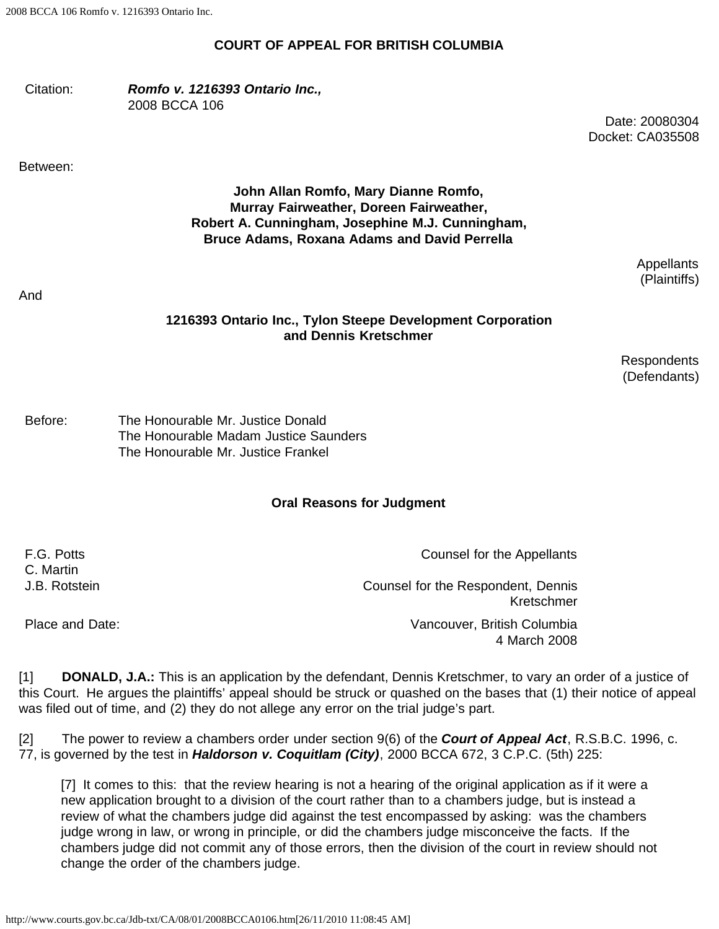2008 BCCA 106 Romfo v. 1216393 Ontario Inc.

#### **COURT OF APPEAL FOR BRITISH COLUMBIA**

#### Citation: *Romfo v. 1216393 Ontario Inc.,* 2008 BCCA 106

Date: 20080304 Docket: CA035508

Between:

## **John Allan Romfo, Mary Dianne Romfo, Murray Fairweather, Doreen Fairweather, Robert A. Cunningham, Josephine M.J. Cunningham, Bruce Adams, Roxana Adams and David Perrella**

Appellants (Plaintiffs)

And

### **1216393 Ontario Inc., Tylon Steepe Development Corporation and Dennis Kretschmer**

Respondents (Defendants)

Before: The Honourable Mr. Justice Donald The Honourable Madam Justice Saunders The Honourable Mr. Justice Frankel

### **Oral Reasons for Judgment**

| F.G. Potts      | Counsel for the Appellants                       |
|-----------------|--------------------------------------------------|
| C. Martin       |                                                  |
| J.B. Rotstein   | Counsel for the Respondent, Dennis<br>Kretschmer |
| Place and Date: | Vancouver, British Columbia<br>4 March 2008      |

[1] **DONALD, J.A.:** This is an application by the defendant, Dennis Kretschmer, to vary an order of a justice of this Court. He argues the plaintiffs' appeal should be struck or quashed on the bases that (1) their notice of appeal was filed out of time, and (2) they do not allege any error on the trial judge's part.

[2] The power to review a chambers order under section 9(6) of the *Court of Appeal Act*, R.S.B.C. 1996, c. 77, is governed by the test in *Haldorson v. Coquitlam (City)*, 2000 BCCA 672, 3 C.P.C. (5th) 225:

[7] It comes to this: that the review hearing is not a hearing of the original application as if it were a new application brought to a division of the court rather than to a chambers judge, but is instead a review of what the chambers judge did against the test encompassed by asking: was the chambers judge wrong in law, or wrong in principle, or did the chambers judge misconceive the facts. If the chambers judge did not commit any of those errors, then the division of the court in review should not change the order of the chambers judge.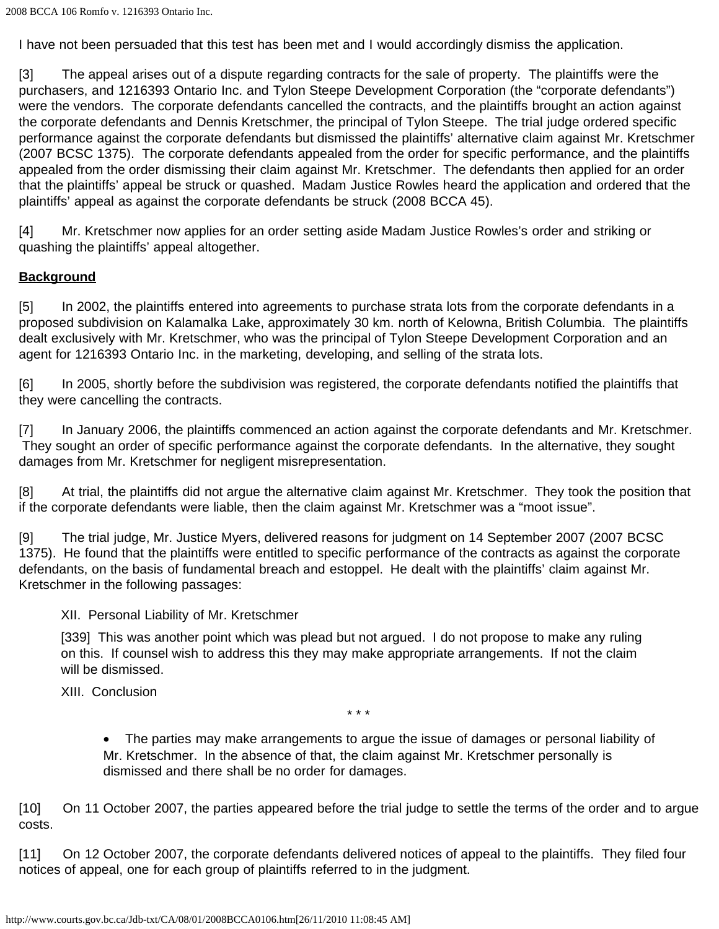I have not been persuaded that this test has been met and I would accordingly dismiss the application.

[3] The appeal arises out of a dispute regarding contracts for the sale of property. The plaintiffs were the purchasers, and 1216393 Ontario Inc. and Tylon Steepe Development Corporation (the "corporate defendants") were the vendors. The corporate defendants cancelled the contracts, and the plaintiffs brought an action against the corporate defendants and Dennis Kretschmer, the principal of Tylon Steepe. The trial judge ordered specific performance against the corporate defendants but dismissed the plaintiffs' alternative claim against Mr. Kretschmer (2007 BCSC 1375). The corporate defendants appealed from the order for specific performance, and the plaintiffs appealed from the order dismissing their claim against Mr. Kretschmer. The defendants then applied for an order that the plaintiffs' appeal be struck or quashed. Madam Justice Rowles heard the application and ordered that the plaintiffs' appeal as against the corporate defendants be struck (2008 BCCA 45).

[4] Mr. Kretschmer now applies for an order setting aside Madam Justice Rowles's order and striking or quashing the plaintiffs' appeal altogether.

## **Background**

[5] In 2002, the plaintiffs entered into agreements to purchase strata lots from the corporate defendants in a proposed subdivision on Kalamalka Lake, approximately 30 km. north of Kelowna, British Columbia. The plaintiffs dealt exclusively with Mr. Kretschmer, who was the principal of Tylon Steepe Development Corporation and an agent for 1216393 Ontario Inc. in the marketing, developing, and selling of the strata lots.

[6] In 2005, shortly before the subdivision was registered, the corporate defendants notified the plaintiffs that they were cancelling the contracts.

[7] In January 2006, the plaintiffs commenced an action against the corporate defendants and Mr. Kretschmer. They sought an order of specific performance against the corporate defendants. In the alternative, they sought damages from Mr. Kretschmer for negligent misrepresentation.

[8] At trial, the plaintiffs did not argue the alternative claim against Mr. Kretschmer. They took the position that if the corporate defendants were liable, then the claim against Mr. Kretschmer was a "moot issue".

[9] The trial judge, Mr. Justice Myers, delivered reasons for judgment on 14 September 2007 (2007 BCSC 1375). He found that the plaintiffs were entitled to specific performance of the contracts as against the corporate defendants, on the basis of fundamental breach and estoppel. He dealt with the plaintiffs' claim against Mr. Kretschmer in the following passages:

### XII. Personal Liability of Mr. Kretschmer

[339] This was another point which was plead but not argued. I do not propose to make any ruling on this. If counsel wish to address this they may make appropriate arrangements. If not the claim will be dismissed.

XIII. Conclusion

\* \* \*

• The parties may make arrangements to argue the issue of damages or personal liability of Mr. Kretschmer. In the absence of that, the claim against Mr. Kretschmer personally is dismissed and there shall be no order for damages.

[10] On 11 October 2007, the parties appeared before the trial judge to settle the terms of the order and to argue costs.

[11] On 12 October 2007, the corporate defendants delivered notices of appeal to the plaintiffs. They filed four notices of appeal, one for each group of plaintiffs referred to in the judgment.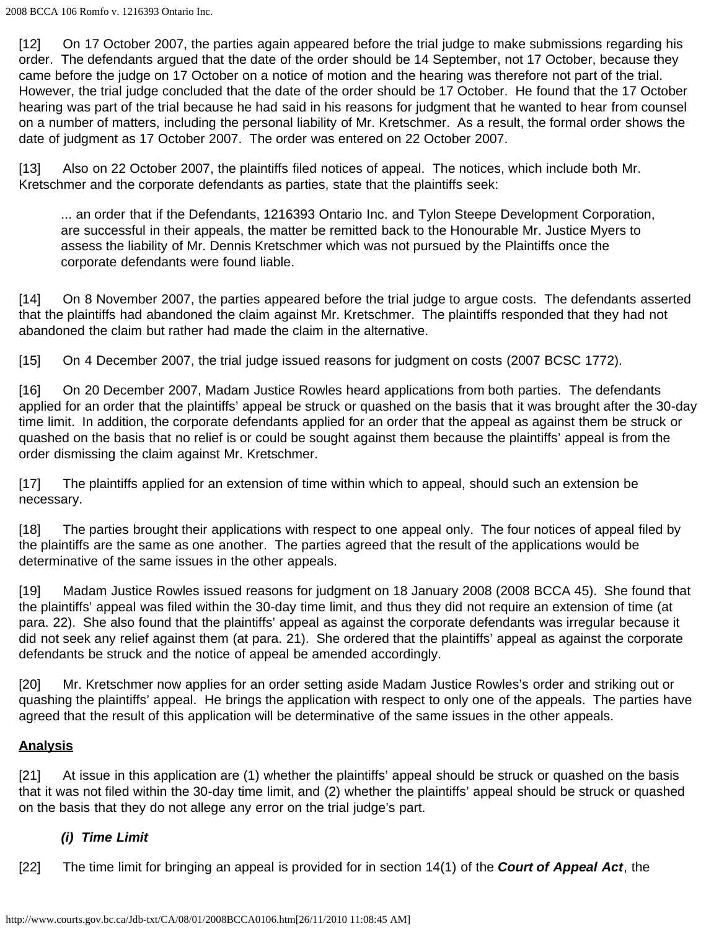[12] On 17 October 2007, the parties again appeared before the trial judge to make submissions regarding his order. The defendants argued that the date of the order should be 14 September, not 17 October, because they came before the judge on 17 October on a notice of motion and the hearing was therefore not part of the trial. However, the trial judge concluded that the date of the order should be 17 October. He found that the 17 October hearing was part of the trial because he had said in his reasons for judgment that he wanted to hear from counsel on a number of matters, including the personal liability of Mr. Kretschmer. As a result, the formal order shows the date of judgment as 17 October 2007. The order was entered on 22 October 2007.

[13] Also on 22 October 2007, the plaintiffs filed notices of appeal. The notices, which include both Mr. Kretschmer and the corporate defendants as parties, state that the plaintiffs seek:

... an order that if the Defendants, 1216393 Ontario Inc. and Tylon Steepe Development Corporation, are successful in their appeals, the matter be remitted back to the Honourable Mr. Justice Myers to assess the liability of Mr. Dennis Kretschmer which was not pursued by the Plaintiffs once the corporate defendants were found liable.

[14] On 8 November 2007, the parties appeared before the trial judge to argue costs. The defendants asserted that the plaintiffs had abandoned the claim against Mr. Kretschmer. The plaintiffs responded that they had not abandoned the claim but rather had made the claim in the alternative.

[15] On 4 December 2007, the trial judge issued reasons for judgment on costs (2007 BCSC 1772).

[16] On 20 December 2007, Madam Justice Rowles heard applications from both parties. The defendants applied for an order that the plaintiffs' appeal be struck or quashed on the basis that it was brought after the 30-day time limit. In addition, the corporate defendants applied for an order that the appeal as against them be struck or quashed on the basis that no relief is or could be sought against them because the plaintiffs' appeal is from the order dismissing the claim against Mr. Kretschmer.

[17] The plaintiffs applied for an extension of time within which to appeal, should such an extension be necessary.

[18] The parties brought their applications with respect to one appeal only. The four notices of appeal filed by the plaintiffs are the same as one another. The parties agreed that the result of the applications would be determinative of the same issues in the other appeals.

[19] Madam Justice Rowles issued reasons for judgment on 18 January 2008 (2008 BCCA 45). She found that the plaintiffs' appeal was filed within the 30-day time limit, and thus they did not require an extension of time (at para. 22). She also found that the plaintiffs' appeal as against the corporate defendants was irregular because it did not seek any relief against them (at para. 21). She ordered that the plaintiffs' appeal as against the corporate defendants be struck and the notice of appeal be amended accordingly.

[20] Mr. Kretschmer now applies for an order setting aside Madam Justice Rowles's order and striking out or quashing the plaintiffs' appeal. He brings the application with respect to only one of the appeals. The parties have agreed that the result of this application will be determinative of the same issues in the other appeals.

# **Analysis**

[21] At issue in this application are (1) whether the plaintiffs' appeal should be struck or quashed on the basis that it was not filed within the 30-day time limit, and (2) whether the plaintiffs' appeal should be struck or quashed on the basis that they do not allege any error on the trial judge's part.

## *(i) Time Limit*

[22] The time limit for bringing an appeal is provided for in section 14(1) of the *Court of Appeal Act*, the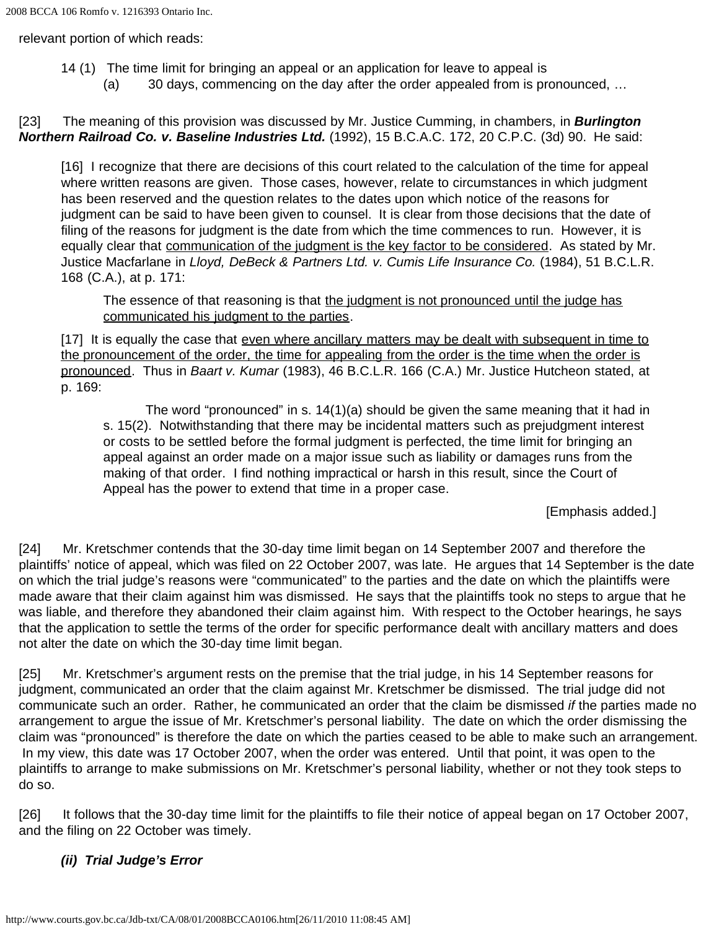relevant portion of which reads:

- 14 (1) The time limit for bringing an appeal or an application for leave to appeal is
	- (a) 30 days, commencing on the day after the order appealed from is pronounced, …

[23] The meaning of this provision was discussed by Mr. Justice Cumming, in chambers, in *Burlington Northern Railroad Co. v. Baseline Industries Ltd.* (1992), 15 B.C.A.C. 172, 20 C.P.C. (3d) 90. He said:

[16] I recognize that there are decisions of this court related to the calculation of the time for appeal where written reasons are given. Those cases, however, relate to circumstances in which judgment has been reserved and the question relates to the dates upon which notice of the reasons for judgment can be said to have been given to counsel. It is clear from those decisions that the date of filing of the reasons for judgment is the date from which the time commences to run. However, it is equally clear that communication of the judgment is the key factor to be considered. As stated by Mr. Justice Macfarlane in *Lloyd, DeBeck & Partners Ltd. v. Cumis Life Insurance Co.* (1984), 51 B.C.L.R. 168 (C.A.), at p. 171:

The essence of that reasoning is that the judgment is not pronounced until the judge has communicated his judgment to the parties.

[17] It is equally the case that even where ancillary matters may be dealt with subsequent in time to the pronouncement of the order, the time for appealing from the order is the time when the order is pronounced. Thus in *Baart v. Kumar* (1983), 46 B.C.L.R. 166 (C.A.) Mr. Justice Hutcheon stated, at p. 169:

The word "pronounced" in s. 14(1)(a) should be given the same meaning that it had in s. 15(2). Notwithstanding that there may be incidental matters such as prejudgment interest or costs to be settled before the formal judgment is perfected, the time limit for bringing an appeal against an order made on a major issue such as liability or damages runs from the making of that order. I find nothing impractical or harsh in this result, since the Court of Appeal has the power to extend that time in a proper case.

[Emphasis added.]

[24] Mr. Kretschmer contends that the 30-day time limit began on 14 September 2007 and therefore the plaintiffs' notice of appeal, which was filed on 22 October 2007, was late. He argues that 14 September is the date on which the trial judge's reasons were "communicated" to the parties and the date on which the plaintiffs were made aware that their claim against him was dismissed. He says that the plaintiffs took no steps to argue that he was liable, and therefore they abandoned their claim against him. With respect to the October hearings, he says that the application to settle the terms of the order for specific performance dealt with ancillary matters and does not alter the date on which the 30-day time limit began.

[25] Mr. Kretschmer's argument rests on the premise that the trial judge, in his 14 September reasons for judgment, communicated an order that the claim against Mr. Kretschmer be dismissed. The trial judge did not communicate such an order. Rather, he communicated an order that the claim be dismissed *if* the parties made no arrangement to argue the issue of Mr. Kretschmer's personal liability. The date on which the order dismissing the claim was "pronounced" is therefore the date on which the parties ceased to be able to make such an arrangement. In my view, this date was 17 October 2007, when the order was entered. Until that point, it was open to the plaintiffs to arrange to make submissions on Mr. Kretschmer's personal liability, whether or not they took steps to do so.

[26] It follows that the 30-day time limit for the plaintiffs to file their notice of appeal began on 17 October 2007, and the filing on 22 October was timely.

# *(ii) Trial Judge's Error*